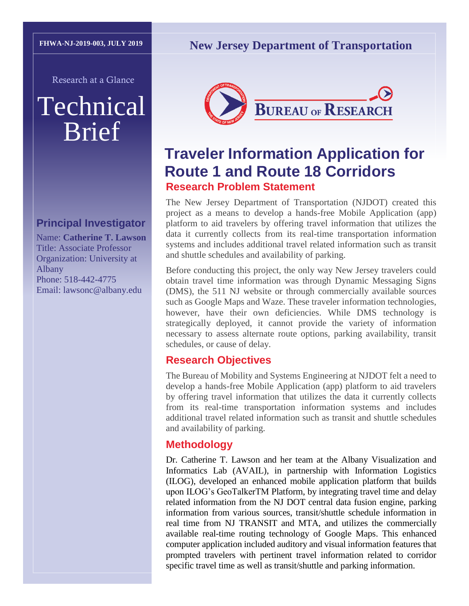Research at a Glance

# Technical Brief

#### **Principal Investigator**

Name: **Catherine T. Lawson** Title: Associate Professor Organization: University at Albany Phone: 518-442-4775 Email: lawsonc@albany.edu

### **New Jersey Department of Transportation**



## **Traveler Information Application for Route 1 and Route 18 Corridors Research Problem Statement**

The New Jersey Department of Transportation (NJDOT) created this project as a means to develop a hands-free Mobile Application (app) platform to aid travelers by offering travel information that utilizes the data it currently collects from its real-time transportation information systems and includes additional travel related information such as transit and shuttle schedules and availability of parking.

Before conducting this project, the only way New Jersey travelers could obtain travel time information was through Dynamic Messaging Signs (DMS), the 511 NJ website or through commercially available sources such as Google Maps and Waze. These traveler information technologies, however, have their own deficiencies. While DMS technology is strategically deployed, it cannot provide the variety of information necessary to assess alternate route options, parking availability, transit schedules, or cause of delay.

#### **Research Objectives**

The Bureau of Mobility and Systems Engineering at NJDOT felt a need to develop a hands-free Mobile Application (app) platform to aid travelers by offering travel information that utilizes the data it currently collects from its real-time transportation information systems and includes additional travel related information such as transit and shuttle schedules and availability of parking.

#### **Methodology**

Dr. Catherine T. Lawson and her team at the Albany Visualization and Informatics Lab (AVAIL), in partnership with Information Logistics (ILOG), developed an enhanced mobile application platform that builds upon ILOG's GeoTalkerTM Platform, by integrating travel time and delay related information from the NJ DOT central data fusion engine, parking information from various sources, transit/shuttle schedule information in real time from NJ TRANSIT and MTA, and utilizes the commercially available real-time routing technology of Google Maps. This enhanced computer application included auditory and visual information features that prompted travelers with pertinent travel information related to corridor specific travel time as well as transit/shuttle and parking information.